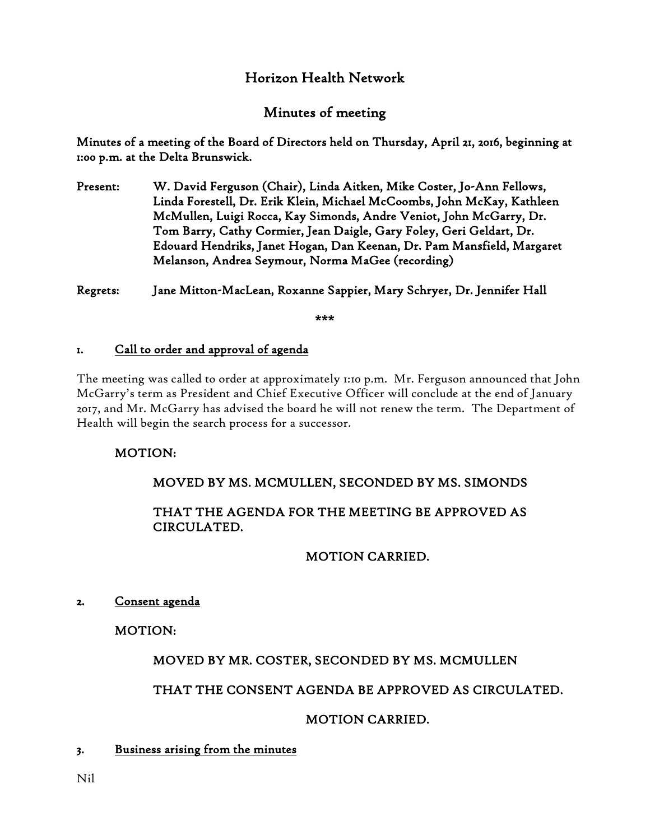# Horizon Health Network

# Minutes of meeting

Minutes of a meeting of the Board of Directors held on Thursday, April 21, 2016, beginning at 1:00 p.m. at the Delta Brunswick.

Present: W. David Ferguson (Chair), Linda Aitken, Mike Coster, Jo-Ann Fellows, Linda Forestell, Dr. Erik Klein, Michael McCoombs, John McKay, Kathleen McMullen, Luigi Rocca, Kay Simonds, Andre Veniot, John McGarry, Dr. Tom Barry, Cathy Cormier, Jean Daigle, Gary Foley, Geri Geldart, Dr. Edouard Hendriks, Janet Hogan, Dan Keenan, Dr. Pam Mansfield, Margaret Melanson, Andrea Seymour, Norma MaGee (recording)

Regrets: Jane Mitton-MacLean, Roxanne Sappier, Mary Schryer, Dr. Jennifer Hall

\*\*\*

#### 1. Call to order and approval of agenda

The meeting was called to order at approximately 1:10 p.m. Mr. Ferguson announced that John McGarry's term as President and Chief Executive Officer will conclude at the end of January 2017, and Mr. McGarry has advised the board he will not renew the term. The Department of Health will begin the search process for a successor.

### MOTION:

# MOVED BY MS. MCMULLEN, SECONDED BY MS. SIMONDS

## THAT THE AGENDA FOR THE MEETING BE APPROVED AS CIRCULATED.

### MOTION CARRIED.

### 2. Consent agenda

MOTION:

# MOVED BY MR. COSTER, SECONDED BY MS. MCMULLEN

# THAT THE CONSENT AGENDA BE APPROVED AS CIRCULATED.

### MOTION CARRIED.

### 3. Business arising from the minutes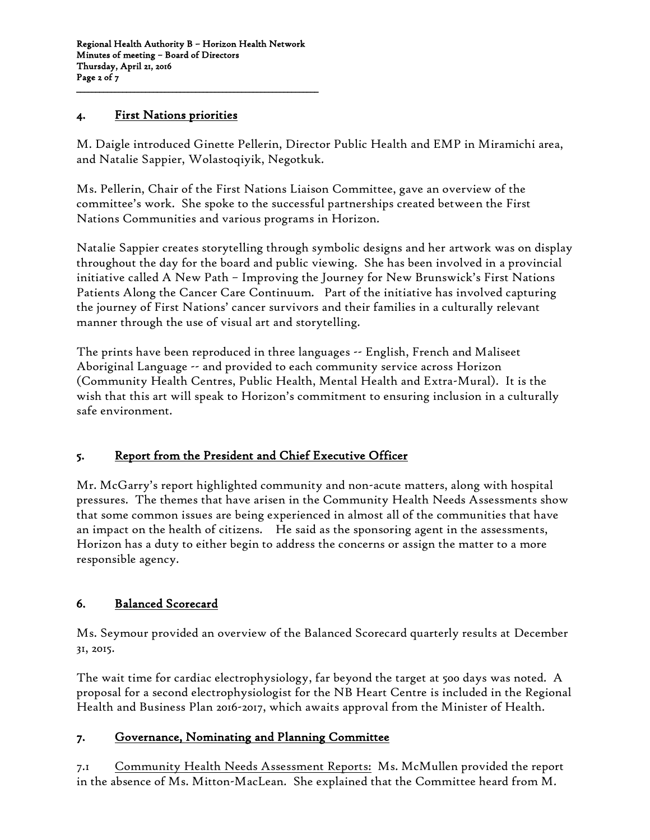#### 4. First Nations priorities

M. Daigle introduced Ginette Pellerin, Director Public Health and EMP in Miramichi area, and Natalie Sappier, Wolastoqiyik, Negotkuk.

Ms. Pellerin, Chair of the First Nations Liaison Committee, gave an overview of the committee's work. She spoke to the successful partnerships created between the First Nations Communities and various programs in Horizon.

Natalie Sappier creates storytelling through symbolic designs and her artwork was on display throughout the day for the board and public viewing. She has been involved in a provincial initiative called A New Path – Improving the Journey for New Brunswick's First Nations Patients Along the Cancer Care Continuum. Part of the initiative has involved capturing the journey of First Nations' cancer survivors and their families in a culturally relevant manner through the use of visual art and storytelling.

The prints have been reproduced in three languages -- English, French and Maliseet Aboriginal Language -- and provided to each community service across Horizon (Community Health Centres, Public Health, Mental Health and Extra-Mural). It is the wish that this art will speak to Horizon's commitment to ensuring inclusion in a culturally safe environment.

### 5. Report from the President and Chief Executive Officer

Mr. McGarry's report highlighted community and non-acute matters, along with hospital pressures. The themes that have arisen in the Community Health Needs Assessments show that some common issues are being experienced in almost all of the communities that have an impact on the health of citizens. He said as the sponsoring agent in the assessments, Horizon has a duty to either begin to address the concerns or assign the matter to a more responsible agency.

# 6. Balanced Scorecard

Ms. Seymour provided an overview of the Balanced Scorecard quarterly results at December 31, 2015.

The wait time for cardiac electrophysiology, far beyond the target at 500 days was noted. A proposal for a second electrophysiologist for the NB Heart Centre is included in the Regional Health and Business Plan 2016-2017, which awaits approval from the Minister of Health.

### 7. Governance, Nominating and Planning Committee

7.1 Community Health Needs Assessment Reports: Ms. McMullen provided the report in the absence of Ms. Mitton-MacLean. She explained that the Committee heard from M.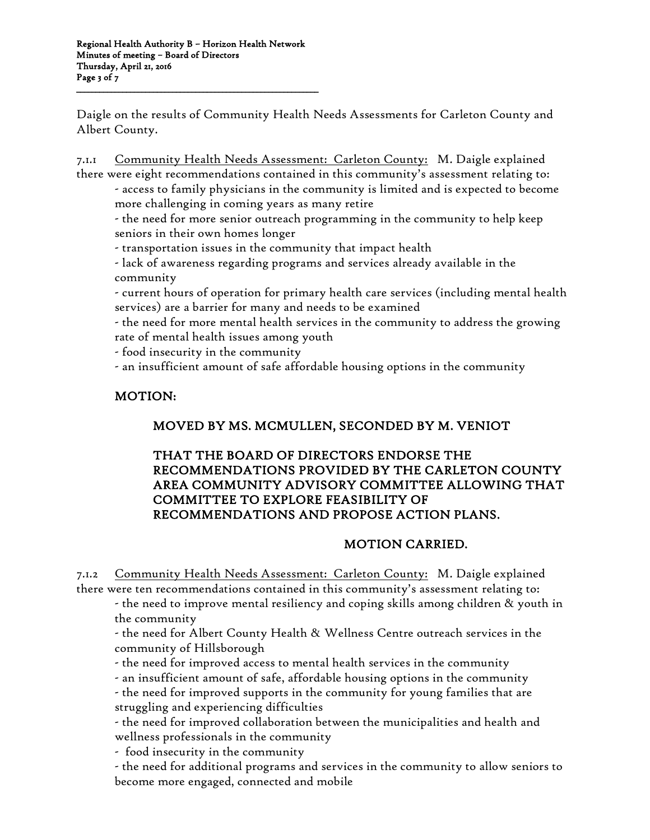Daigle on the results of Community Health Needs Assessments for Carleton County and Albert County.

7.1.1 Community Health Needs Assessment: Carleton County: M. Daigle explained there were eight recommendations contained in this community's assessment relating to:

- access to family physicians in the community is limited and is expected to become more challenging in coming years as many retire

- the need for more senior outreach programming in the community to help keep seniors in their own homes longer

- transportation issues in the community that impact health

- lack of awareness regarding programs and services already available in the community

- current hours of operation for primary health care services (including mental health services) are a barrier for many and needs to be examined

- the need for more mental health services in the community to address the growing rate of mental health issues among youth

- food insecurity in the community

- an insufficient amount of safe affordable housing options in the community

## MOTION:

# MOVED BY MS. MCMULLEN, SECONDED BY M. VENIOT

### THAT THE BOARD OF DIRECTORS ENDORSE THE RECOMMENDATIONS PROVIDED BY THE CARLETON COUNTY AREA COMMUNITY ADVISORY COMMITTEE ALLOWING THAT COMMITTEE TO EXPLORE FEASIBILITY OF RECOMMENDATIONS AND PROPOSE ACTION PLANS.

### MOTION CARRIED.

7.1.2 Community Health Needs Assessment: Carleton County: M. Daigle explained there were ten recommendations contained in this community's assessment relating to:

- the need to improve mental resiliency and coping skills among children & youth in the community

- the need for Albert County Health & Wellness Centre outreach services in the community of Hillsborough

- the need for improved access to mental health services in the community

- an insufficient amount of safe, affordable housing options in the community - the need for improved supports in the community for young families that are

struggling and experiencing difficulties

- the need for improved collaboration between the municipalities and health and wellness professionals in the community

- food insecurity in the community

- the need for additional programs and services in the community to allow seniors to become more engaged, connected and mobile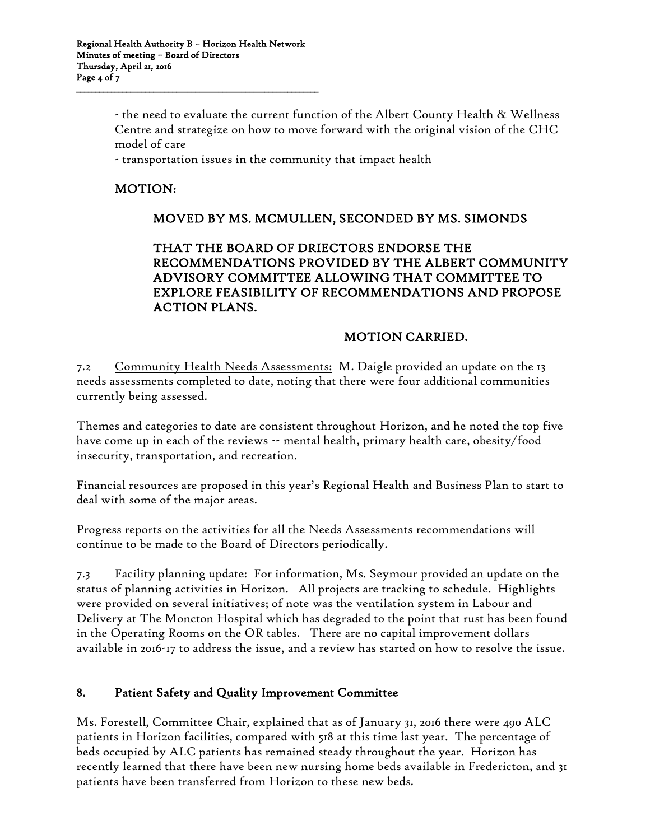- the need to evaluate the current function of the Albert County Health & Wellness Centre and strategize on how to move forward with the original vision of the CHC model of care

- transportation issues in the community that impact health

## MOTION:

## MOVED BY MS. MCMULLEN, SECONDED BY MS. SIMONDS

#### THAT THE BOARD OF DRIECTORS ENDORSE THE RECOMMENDATIONS PROVIDED BY THE ALBERT COMMUNITY ADVISORY COMMITTEE ALLOWING THAT COMMITTEE TO EXPLORE FEASIBILITY OF RECOMMENDATIONS AND PROPOSE ACTION PLANS.

### MOTION CARRIED.

7.2 Community Health Needs Assessments: M. Daigle provided an update on the 13 needs assessments completed to date, noting that there were four additional communities currently being assessed.

Themes and categories to date are consistent throughout Horizon, and he noted the top five have come up in each of the reviews -- mental health, primary health care, obesity/food insecurity, transportation, and recreation.

Financial resources are proposed in this year's Regional Health and Business Plan to start to deal with some of the major areas.

Progress reports on the activities for all the Needs Assessments recommendations will continue to be made to the Board of Directors periodically.

7.3 Facility planning update: For information, Ms. Seymour provided an update on the status of planning activities in Horizon. All projects are tracking to schedule. Highlights were provided on several initiatives; of note was the ventilation system in Labour and Delivery at The Moncton Hospital which has degraded to the point that rust has been found in the Operating Rooms on the OR tables. There are no capital improvement dollars available in 2016-17 to address the issue, and a review has started on how to resolve the issue.

#### 8. Patient Safety and Quality Improvement Committee

Ms. Forestell, Committee Chair, explained that as of January 31, 2016 there were 490 ALC patients in Horizon facilities, compared with 518 at this time last year. The percentage of beds occupied by ALC patients has remained steady throughout the year. Horizon has recently learned that there have been new nursing home beds available in Fredericton, and 31 patients have been transferred from Horizon to these new beds.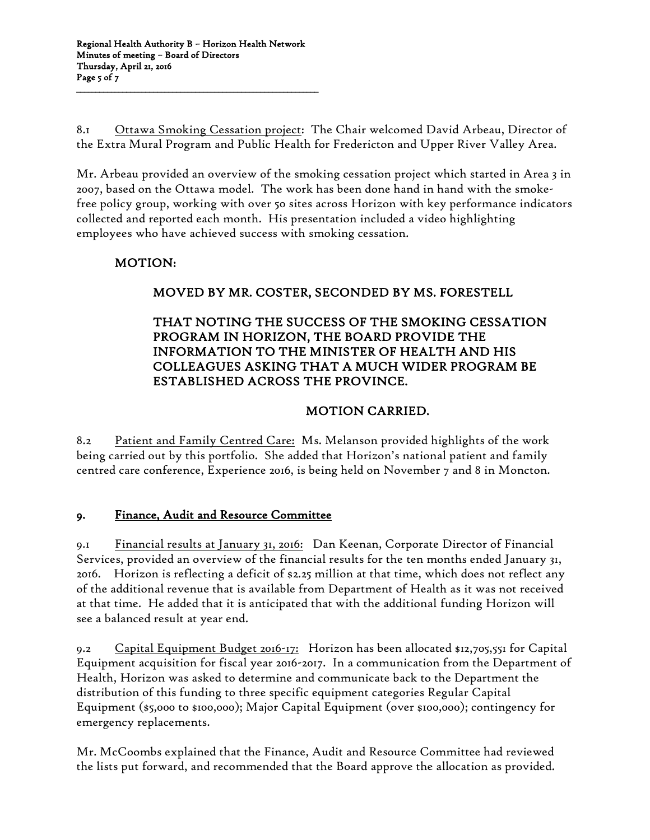8.1 Ottawa Smoking Cessation project: The Chair welcomed David Arbeau, Director of the Extra Mural Program and Public Health for Fredericton and Upper River Valley Area.

Mr. Arbeau provided an overview of the smoking cessation project which started in Area 3 in 2007, based on the Ottawa model. The work has been done hand in hand with the smokefree policy group, working with over 50 sites across Horizon with key performance indicators collected and reported each month. His presentation included a video highlighting employees who have achieved success with smoking cessation.

# MOTION:

# MOVED BY MR. COSTER, SECONDED BY MS. FORESTELL

### THAT NOTING THE SUCCESS OF THE SMOKING CESSATION PROGRAM IN HORIZON, THE BOARD PROVIDE THE INFORMATION TO THE MINISTER OF HEALTH AND HIS COLLEAGUES ASKING THAT A MUCH WIDER PROGRAM BE ESTABLISHED ACROSS THE PROVINCE.

# MOTION CARRIED.

8.2 Patient and Family Centred Care: Ms. Melanson provided highlights of the work being carried out by this portfolio. She added that Horizon's national patient and family centred care conference, Experience 2016, is being held on November 7 and 8 in Moncton.

### 9. Finance, Audit and Resource Committee

9.1 Financial results at January 31, 2016: Dan Keenan, Corporate Director of Financial Services, provided an overview of the financial results for the ten months ended January 31, 2016. Horizon is reflecting a deficit of \$2.25 million at that time, which does not reflect any of the additional revenue that is available from Department of Health as it was not received at that time. He added that it is anticipated that with the additional funding Horizon will see a balanced result at year end.

9.2 Capital Equipment Budget 2016-17: Horizon has been allocated \$12,705,551 for Capital Equipment acquisition for fiscal year 2016-2017. In a communication from the Department of Health, Horizon was asked to determine and communicate back to the Department the distribution of this funding to three specific equipment categories Regular Capital Equipment (\$5,000 to \$100,000); Major Capital Equipment (over \$100,000); contingency for emergency replacements.

Mr. McCoombs explained that the Finance, Audit and Resource Committee had reviewed the lists put forward, and recommended that the Board approve the allocation as provided.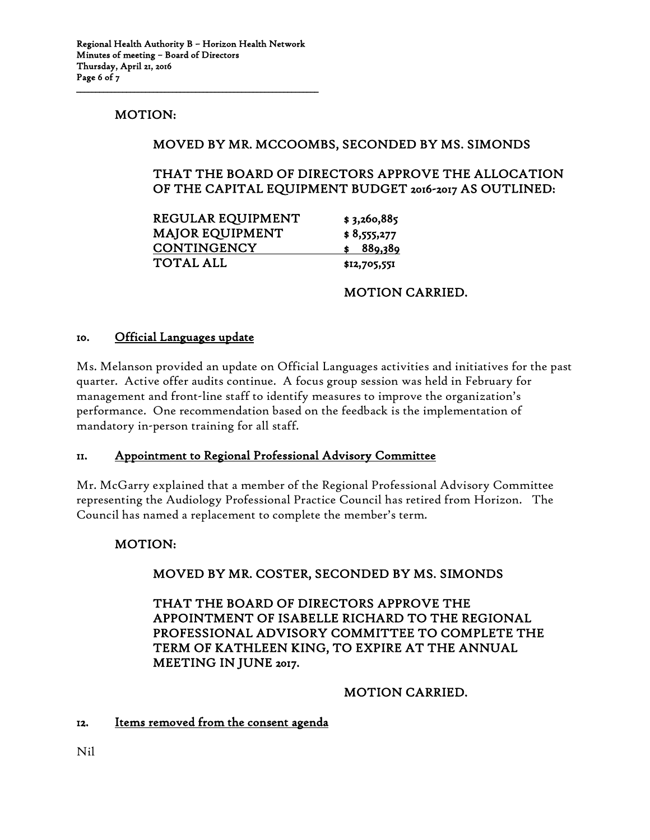### MOTION:

### MOVED BY MR. MCCOOMBS, SECONDED BY MS. SIMONDS

### THAT THE BOARD OF DIRECTORS APPROVE THE ALLOCATION OF THE CAPITAL EQUIPMENT BUDGET 2016-2017 AS OUTLINED:

| REGULAR EQUIPMENT      | \$3,260,885  |
|------------------------|--------------|
| <b>MAJOR EQUIPMENT</b> | \$8,555,277  |
| <b>CONTINGENCY</b>     | 889,389      |
| <b>TOTAL ALL</b>       | \$12,705,551 |

#### MOTION CARRIED.

#### 10. Official Languages update

Ms. Melanson provided an update on Official Languages activities and initiatives for the past quarter. Active offer audits continue. A focus group session was held in February for management and front-line staff to identify measures to improve the organization's performance. One recommendation based on the feedback is the implementation of mandatory in-person training for all staff.

#### 11. Appointment to Regional Professional Advisory Committee

Mr. McGarry explained that a member of the Regional Professional Advisory Committee representing the Audiology Professional Practice Council has retired from Horizon. The Council has named a replacement to complete the member's term.

### MOTION:

### MOVED BY MR. COSTER, SECONDED BY MS. SIMONDS

 THAT THE BOARD OF DIRECTORS APPROVE THE APPOINTMENT OF ISABELLE RICHARD TO THE REGIONAL PROFESSIONAL ADVISORY COMMITTEE TO COMPLETE THE TERM OF KATHLEEN KING, TO EXPIRE AT THE ANNUAL MEETING IN JUNE 2017.

#### MOTION CARRIED.

#### 12. Items removed from the consent agenda

Nil